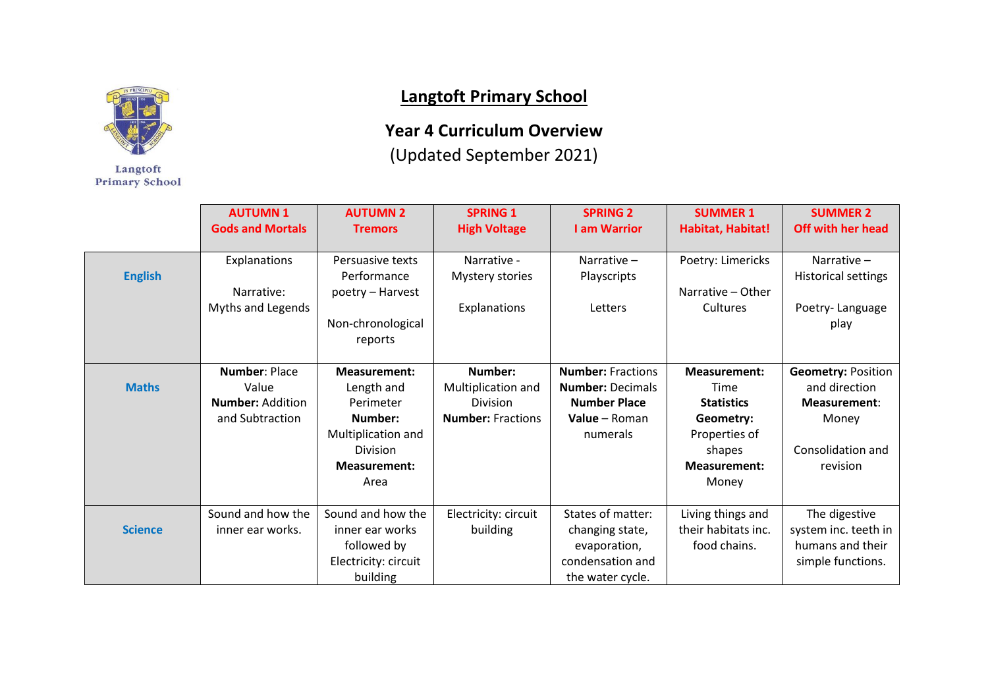

Langtoft **Primary School** 

## **Langtoft Primary School**

## **Year 4 Curriculum Overview**

(Updated September 2021)

|                | <b>AUTUMN1</b><br><b>Gods and Mortals</b> | <b>AUTUMN 2</b><br><b>Tremors</b> | <b>SPRING 1</b><br><b>High Voltage</b> | <b>SPRING 2</b><br><b>Lam Warrior</b> | <b>SUMMER 1</b><br>Habitat, Habitat! | <b>SUMMER 2</b><br>Off with her head |
|----------------|-------------------------------------------|-----------------------------------|----------------------------------------|---------------------------------------|--------------------------------------|--------------------------------------|
|                |                                           |                                   |                                        |                                       |                                      |                                      |
|                | Explanations                              | Persuasive texts                  | Narrative -                            | Narrative $-$                         | Poetry: Limericks                    | Narrative-                           |
| <b>English</b> |                                           | Performance                       | Mystery stories                        | Playscripts                           |                                      | <b>Historical settings</b>           |
|                | Narrative:                                | poetry - Harvest                  |                                        |                                       | Narrative - Other                    |                                      |
|                | Myths and Legends                         |                                   | Explanations                           | Letters                               | Cultures                             | Poetry-Language                      |
|                |                                           | Non-chronological                 |                                        |                                       |                                      | play                                 |
|                |                                           | reports                           |                                        |                                       |                                      |                                      |
|                |                                           |                                   |                                        |                                       |                                      |                                      |
|                | <b>Number: Place</b>                      | <b>Measurement:</b>               | Number:                                | <b>Number: Fractions</b>              | <b>Measurement:</b>                  | <b>Geometry: Position</b>            |
| <b>Maths</b>   | Value                                     | Length and                        | Multiplication and                     | <b>Number: Decimals</b>               | Time                                 | and direction                        |
|                | <b>Number: Addition</b>                   | Perimeter                         | Division                               | <b>Number Place</b>                   | <b>Statistics</b>                    | <b>Measurement:</b>                  |
|                | and Subtraction                           | Number:                           | <b>Number: Fractions</b>               | Value - Roman                         | Geometry:                            | Money                                |
|                |                                           | Multiplication and                |                                        | numerals                              | Properties of                        |                                      |
|                |                                           | <b>Division</b>                   |                                        |                                       | shapes                               | Consolidation and                    |
|                |                                           | <b>Measurement:</b>               |                                        |                                       | <b>Measurement:</b>                  | revision                             |
|                |                                           | Area                              |                                        |                                       | Money                                |                                      |
|                | Sound and how the                         | Sound and how the                 | Electricity: circuit                   | States of matter:                     | Living things and                    | The digestive                        |
| <b>Science</b> | inner ear works.                          | inner ear works                   | building                               | changing state,                       | their habitats inc.                  | system inc. teeth in                 |
|                |                                           | followed by                       |                                        | evaporation,                          | food chains.                         | humans and their                     |
|                |                                           | Electricity: circuit              |                                        | condensation and                      |                                      | simple functions.                    |
|                |                                           | building                          |                                        | the water cycle.                      |                                      |                                      |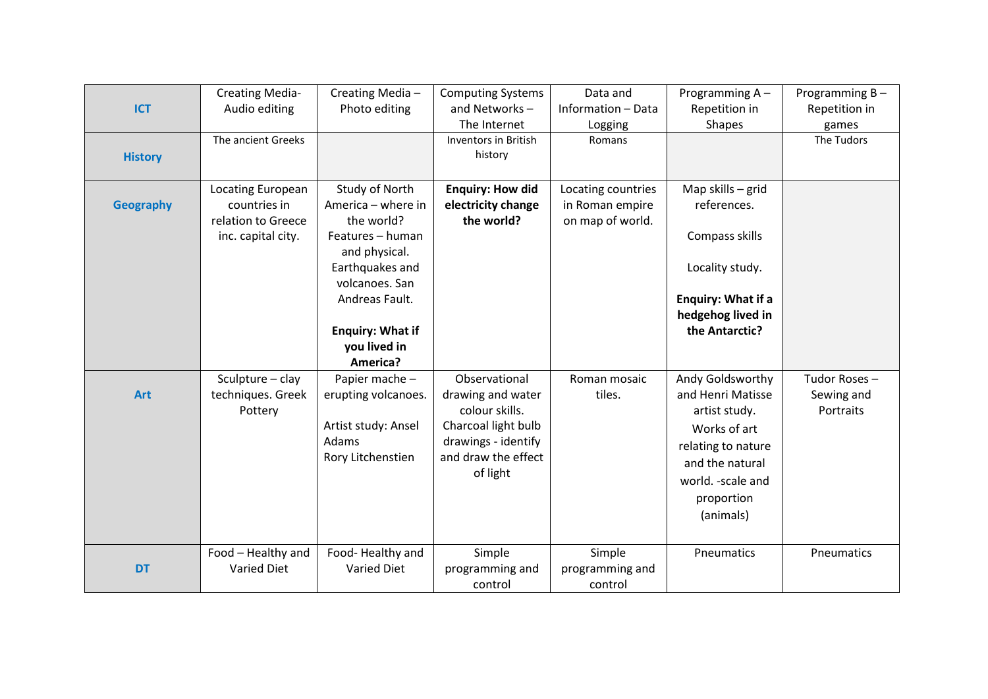|                  | <b>Creating Media-</b> | Creating Media-         | <b>Computing Systems</b> | Data and           | Programming A-     | Programming B- |
|------------------|------------------------|-------------------------|--------------------------|--------------------|--------------------|----------------|
| <b>ICT</b>       | Audio editing          | Photo editing           | and Networks-            | Information - Data | Repetition in      | Repetition in  |
|                  |                        |                         | The Internet             | Logging            | <b>Shapes</b>      | games          |
|                  | The ancient Greeks     |                         | Inventors in British     | Romans             |                    | The Tudors     |
| <b>History</b>   |                        |                         | history                  |                    |                    |                |
|                  |                        |                         |                          |                    |                    |                |
|                  | Locating European      | Study of North          | <b>Enquiry: How did</b>  | Locating countries | Map skills - grid  |                |
| <b>Geography</b> | countries in           | America - where in      | electricity change       | in Roman empire    | references.        |                |
|                  | relation to Greece     | the world?              | the world?               | on map of world.   |                    |                |
|                  | inc. capital city.     | Features - human        |                          |                    | Compass skills     |                |
|                  |                        | and physical.           |                          |                    |                    |                |
|                  |                        | Earthquakes and         |                          |                    | Locality study.    |                |
|                  |                        | volcanoes. San          |                          |                    |                    |                |
|                  |                        | Andreas Fault.          |                          |                    | Enquiry: What if a |                |
|                  |                        |                         |                          |                    | hedgehog lived in  |                |
|                  |                        | <b>Enquiry: What if</b> |                          |                    | the Antarctic?     |                |
|                  |                        | you lived in            |                          |                    |                    |                |
|                  |                        | America?                |                          |                    |                    |                |
|                  | Sculpture - clay       | Papier mache -          | Observational            | Roman mosaic       | Andy Goldsworthy   | Tudor Roses-   |
| <b>Art</b>       | techniques. Greek      | erupting volcanoes.     | drawing and water        | tiles.             | and Henri Matisse  | Sewing and     |
|                  | Pottery                |                         | colour skills.           |                    | artist study.      | Portraits      |
|                  |                        | Artist study: Ansel     | Charcoal light bulb      |                    | Works of art       |                |
|                  |                        | Adams                   | drawings - identify      |                    | relating to nature |                |
|                  |                        | Rory Litchenstien       | and draw the effect      |                    | and the natural    |                |
|                  |                        |                         | of light                 |                    | world. -scale and  |                |
|                  |                        |                         |                          |                    | proportion         |                |
|                  |                        |                         |                          |                    | (animals)          |                |
|                  |                        |                         |                          |                    |                    |                |
|                  |                        |                         |                          |                    |                    |                |
|                  | Food - Healthy and     | Food-Healthy and        | Simple                   | Simple             | Pneumatics         | Pneumatics     |
| <b>DT</b>        | <b>Varied Diet</b>     | <b>Varied Diet</b>      | programming and          | programming and    |                    |                |
|                  |                        |                         | control                  | control            |                    |                |